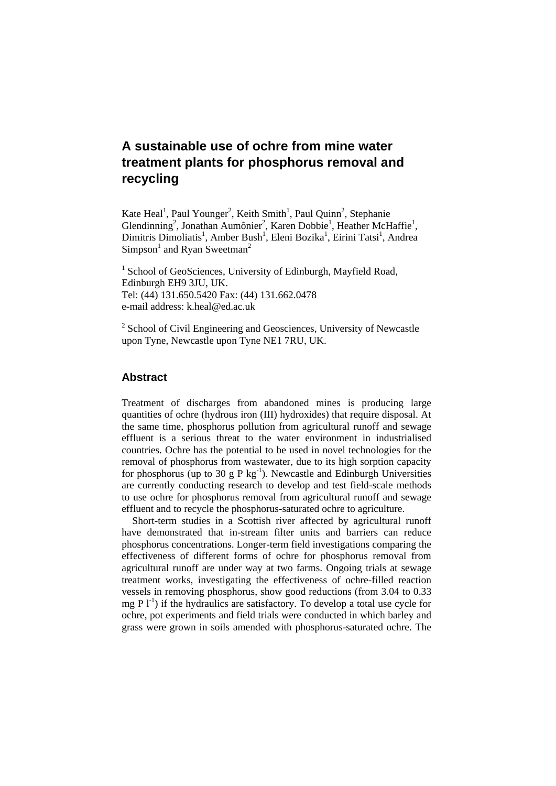# **A sustainable use of ochre from mine water treatment plants for phosphorus removal and recycling**

Kate Heal<sup>1</sup>, Paul Younger<sup>2</sup>, Keith Smith<sup>1</sup>, Paul Quinn<sup>2</sup>, Stephanie Glendinning<sup>2</sup>, Jonathan Aumônier<sup>2</sup>, Karen Dobbie<sup>1</sup>, Heather McHaffie<sup>1</sup>, Dimitris Dimoliatis<sup>1</sup>, Amber Bush<sup>1</sup>, Eleni Bozika<sup>1</sup>, Eirini Tatsi<sup>1</sup>, Andrea  $Simpson<sup>1</sup>$  and Ryan Sweetman<sup>2</sup>

<sup>1</sup> School of GeoSciences, University of Edinburgh, Mayfield Road, Edinburgh EH9 3JU, UK. Tel: (44) 131.650.5420 Fax: (44) 131.662.0478 e-mail address: k.heal@ed.ac.uk

<sup>2</sup> School of Civil Engineering and Geosciences, University of Newcastle upon Tyne, Newcastle upon Tyne NE1 7RU, UK.

### **Abstract**

Treatment of discharges from abandoned mines is producing large quantities of ochre (hydrous iron (III) hydroxides) that require disposal. At the same time, phosphorus pollution from agricultural runoff and sewage effluent is a serious threat to the water environment in industrialised countries. Ochre has the potential to be used in novel technologies for the removal of phosphorus from wastewater, due to its high sorption capacity for phosphorus (up to 30 g P kg<sup>-1</sup>). Newcastle and Edinburgh Universities are currently conducting research to develop and test field-scale methods to use ochre for phosphorus removal from agricultural runoff and sewage effluent and to recycle the phosphorus-saturated ochre to agriculture.

Short-term studies in a Scottish river affected by agricultural runoff have demonstrated that in-stream filter units and barriers can reduce phosphorus concentrations. Longer-term field investigations comparing the effectiveness of different forms of ochre for phosphorus removal from agricultural runoff are under way at two farms. Ongoing trials at sewage treatment works, investigating the effectiveness of ochre-filled reaction vessels in removing phosphorus, show good reductions (from 3.04 to 0.33 mg P  $l^{-1}$ ) if the hydraulics are satisfactory. To develop a total use cycle for ochre, pot experiments and field trials were conducted in which barley and grass were grown in soils amended with phosphorus-saturated ochre. The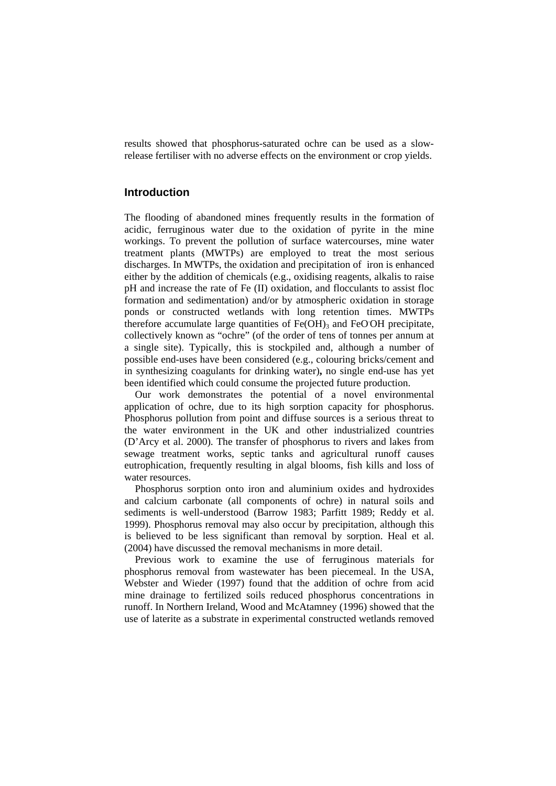results showed that phosphorus-saturated ochre can be used as a slowrelease fertiliser with no adverse effects on the environment or crop yields.

### **Introduction**

The flooding of abandoned mines frequently results in the formation of acidic, ferruginous water due to the oxidation of pyrite in the mine workings. To prevent the pollution of surface watercourses, mine water treatment plants (MWTPs) are employed to treat the most serious discharges. In MWTPs, the oxidation and precipitation of iron is enhanced either by the addition of chemicals (e.g., oxidising reagents, alkalis to raise pH and increase the rate of Fe (II) oxidation, and flocculants to assist floc formation and sedimentation) and/or by atmospheric oxidation in storage ponds or constructed wetlands with long retention times. MWTPs therefore accumulate large quantities of  $Fe(OH)_3$  and  $FeOOH$  precipitate, collectively known as "ochre" (of the order of tens of tonnes per annum at a single site). Typically, this is stockpiled and, although a number of possible end-uses have been considered (e.g., colouring bricks/cement and in synthesizing coagulants for drinking water)**,** no single end-use has yet been identified which could consume the projected future production.

Our work demonstrates the potential of a novel environmental application of ochre, due to its high sorption capacity for phosphorus. Phosphorus pollution from point and diffuse sources is a serious threat to the water environment in the UK and other industrialized countries (D'Arcy et al. 2000). The transfer of phosphorus to rivers and lakes from sewage treatment works, septic tanks and agricultural runoff causes eutrophication, frequently resulting in algal blooms, fish kills and loss of water resources.

Phosphorus sorption onto iron and aluminium oxides and hydroxides and calcium carbonate (all components of ochre) in natural soils and sediments is well-understood (Barrow 1983; Parfitt 1989; Reddy et al. 1999). Phosphorus removal may also occur by precipitation, although this is believed to be less significant than removal by sorption. Heal et al. (2004) have discussed the removal mechanisms in more detail.

Previous work to examine the use of ferruginous materials for phosphorus removal from wastewater has been piecemeal. In the USA, Webster and Wieder (1997) found that the addition of ochre from acid mine drainage to fertilized soils reduced phosphorus concentrations in runoff. In Northern Ireland, Wood and McAtamney (1996) showed that the use of laterite as a substrate in experimental constructed wetlands removed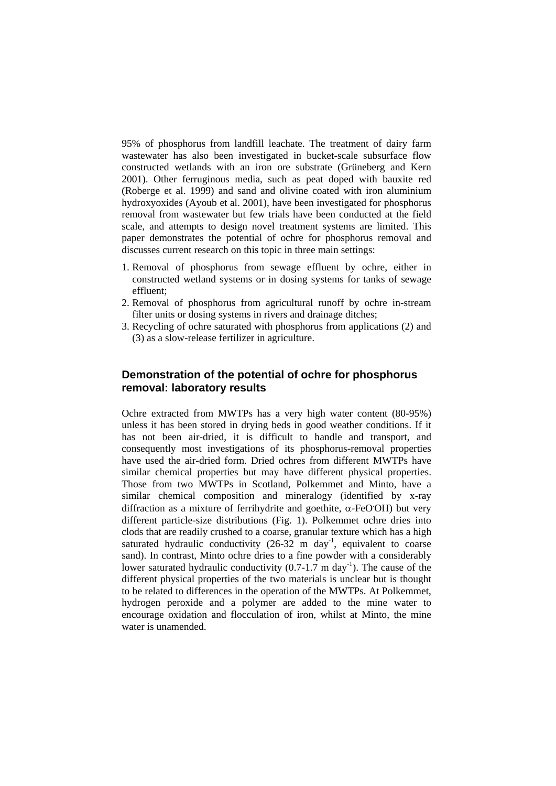95% of phosphorus from landfill leachate. The treatment of dairy farm wastewater has also been investigated in bucket-scale subsurface flow constructed wetlands with an iron ore substrate (Grüneberg and Kern 2001). Other ferruginous media, such as peat doped with bauxite red (Roberge et al. 1999) and sand and olivine coated with iron aluminium hydroxyoxides (Ayoub et al. 2001), have been investigated for phosphorus removal from wastewater but few trials have been conducted at the field scale, and attempts to design novel treatment systems are limited. This paper demonstrates the potential of ochre for phosphorus removal and discusses current research on this topic in three main settings:

- 1. Removal of phosphorus from sewage effluent by ochre, either in constructed wetland systems or in dosing systems for tanks of sewage effluent;
- 2. Removal of phosphorus from agricultural runoff by ochre in-stream filter units or dosing systems in rivers and drainage ditches;
- 3. Recycling of ochre saturated with phosphorus from applications (2) and (3) as a slow-release fertilizer in agriculture.

### **Demonstration of the potential of ochre for phosphorus removal: laboratory results**

Ochre extracted from MWTPs has a very high water content (80-95%) unless it has been stored in drying beds in good weather conditions. If it has not been air-dried, it is difficult to handle and transport, and consequently most investigations of its phosphorus-removal properties have used the air-dried form. Dried ochres from different MWTPs have similar chemical properties but may have different physical properties. Those from two MWTPs in Scotland, Polkemmet and Minto, have a similar chemical composition and mineralogy (identified by x-ray diffraction as a mixture of ferrihydrite and goethite, α-FeOOH) but very different particle-size distributions (Fig. 1). Polkemmet ochre dries into clods that are readily crushed to a coarse, granular texture which has a high saturated hydraulic conductivity  $(26-32 \text{ m day}^{-1})$ , equivalent to coarse sand). In contrast, Minto ochre dries to a fine powder with a considerably lower saturated hydraulic conductivity  $(0.7-1.7 \text{ m day}^{-1})$ . The cause of the different physical properties of the two materials is unclear but is thought to be related to differences in the operation of the MWTPs. At Polkemmet, hydrogen peroxide and a polymer are added to the mine water to encourage oxidation and flocculation of iron, whilst at Minto, the mine water is unamended.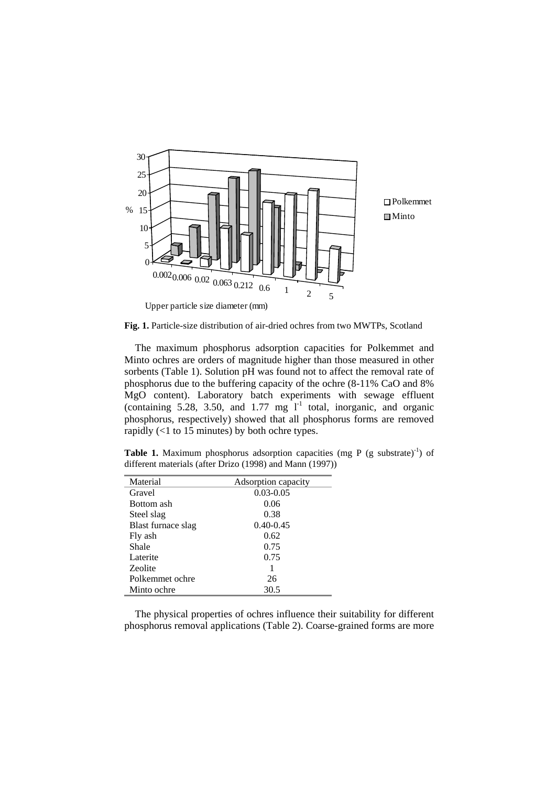

**Fig. 1.** Particle-size distribution of air-dried ochres from two MWTPs, Scotland

The maximum phosphorus adsorption capacities for Polkemmet and Minto ochres are orders of magnitude higher than those measured in other sorbents (Table 1). Solution pH was found not to affect the removal rate of phosphorus due to the buffering capacity of the ochre (8-11% CaO and 8% MgO content). Laboratory batch experiments with sewage effluent (containing 5.28, 3.50, and 1.77 mg  $l^{-1}$  total, inorganic, and organic phosphorus, respectively) showed that all phosphorus forms are removed rapidly (<1 to 15 minutes) by both ochre types.

**Table 1.** Maximum phosphorus adsorption capacities (mg P (g substrate)<sup>-1</sup>) of different materials (after Drizo (1998) and Mann (1997))

| Material           | Adsorption capacity |
|--------------------|---------------------|
| Gravel             | $0.03 - 0.05$       |
| Bottom ash         | 0.06                |
| Steel slag         | 0.38                |
| Blast furnace slag | $0.40 - 0.45$       |
| Fly ash            | 0.62                |
| Shale              | 0.75                |
| Laterite           | 0.75                |
| Zeolite            |                     |
| Polkemmet ochre    | 26                  |
| Minto ochre        | 30.5                |

The physical properties of ochres influence their suitability for different phosphorus removal applications (Table 2). Coarse-grained forms are more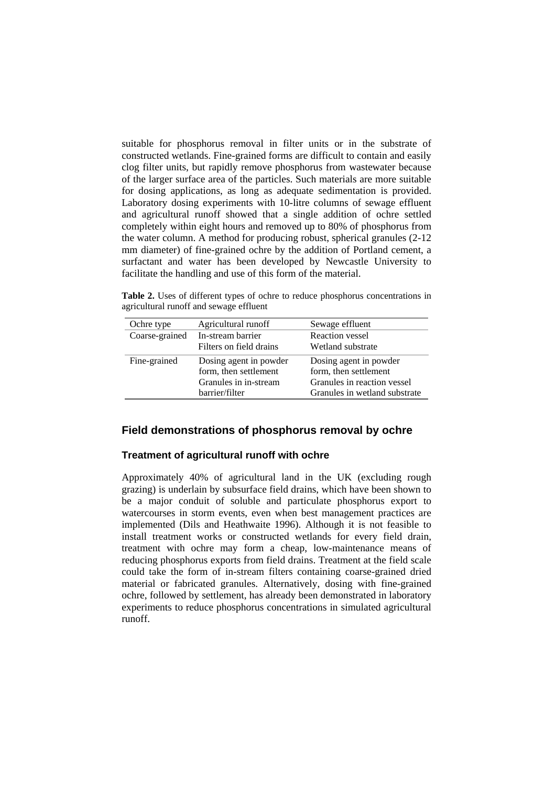suitable for phosphorus removal in filter units or in the substrate of constructed wetlands. Fine-grained forms are difficult to contain and easily clog filter units, but rapidly remove phosphorus from wastewater because of the larger surface area of the particles. Such materials are more suitable for dosing applications, as long as adequate sedimentation is provided. Laboratory dosing experiments with 10-litre columns of sewage effluent and agricultural runoff showed that a single addition of ochre settled completely within eight hours and removed up to 80% of phosphorus from the water column. A method for producing robust, spherical granules (2-12 mm diameter) of fine-grained ochre by the addition of Portland cement, a surfactant and water has been developed by Newcastle University to facilitate the handling and use of this form of the material.

**Table 2.** Uses of different types of ochre to reduce phosphorus concentrations in agricultural runoff and sewage effluent

| Ochre type     | Agricultural runoff     | Sewage effluent               |
|----------------|-------------------------|-------------------------------|
| Coarse-grained | In-stream barrier       | <b>Reaction</b> vessel        |
|                | Filters on field drains | Wetland substrate             |
| Fine-grained   | Dosing agent in powder  | Dosing agent in powder        |
|                | form, then settlement   | form, then settlement         |
|                | Granules in in-stream   | Granules in reaction vessel   |
|                | barrier/filter          | Granules in wetland substrate |

## **Field demonstrations of phosphorus removal by ochre**

### **Treatment of agricultural runoff with ochre**

Approximately 40% of agricultural land in the UK (excluding rough grazing) is underlain by subsurface field drains, which have been shown to be a major conduit of soluble and particulate phosphorus export to watercourses in storm events, even when best management practices are implemented (Dils and Heathwaite 1996). Although it is not feasible to install treatment works or constructed wetlands for every field drain, treatment with ochre may form a cheap, low-maintenance means of reducing phosphorus exports from field drains. Treatment at the field scale could take the form of in-stream filters containing coarse-grained dried material or fabricated granules. Alternatively, dosing with fine-grained ochre, followed by settlement, has already been demonstrated in laboratory experiments to reduce phosphorus concentrations in simulated agricultural runoff.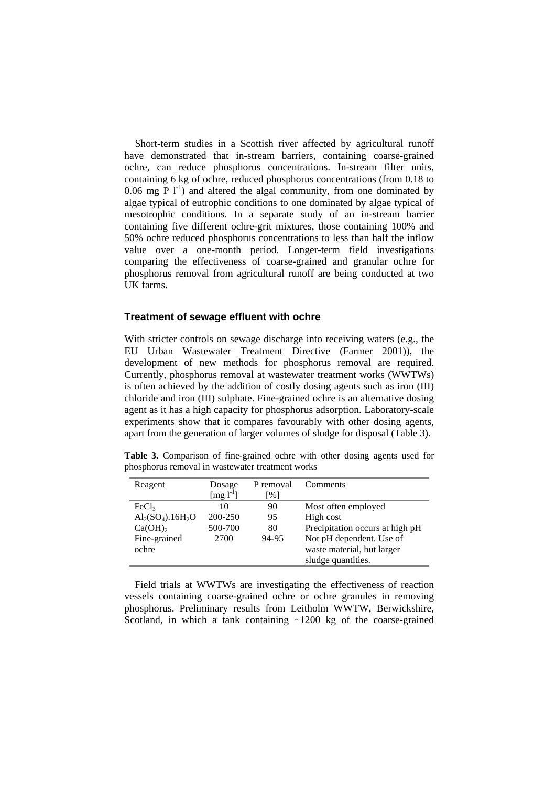Short-term studies in a Scottish river affected by agricultural runoff have demonstrated that in-stream barriers, containing coarse-grained ochre, can reduce phosphorus concentrations. In-stream filter units, containing 6 kg of ochre, reduced phosphorus concentrations (from 0.18 to 0.06 mg P  $1^{-1}$ ) and altered the algal community, from one dominated by algae typical of eutrophic conditions to one dominated by algae typical of mesotrophic conditions. In a separate study of an in-stream barrier containing five different ochre-grit mixtures, those containing 100% and 50% ochre reduced phosphorus concentrations to less than half the inflow value over a one-month period. Longer-term field investigations comparing the effectiveness of coarse-grained and granular ochre for phosphorus removal from agricultural runoff are being conducted at two UK farms.

#### **Treatment of sewage effluent with ochre**

With stricter controls on sewage discharge into receiving waters (e.g., the EU Urban Wastewater Treatment Directive (Farmer 2001)), the development of new methods for phosphorus removal are required. Currently, phosphorus removal at wastewater treatment works (WWTWs) is often achieved by the addition of costly dosing agents such as iron (III) chloride and iron (III) sulphate. Fine-grained ochre is an alternative dosing agent as it has a high capacity for phosphorus adsorption. Laboratory-scale experiments show that it compares favourably with other dosing agents, apart from the generation of larger volumes of sludge for disposal (Table 3).

**Table 3.** Comparison of fine-grained ochre with other dosing agents used for phosphorus removal in wastewater treatment works

| Reagent           | Dosage                            | P removal       | Comments                        |
|-------------------|-----------------------------------|-----------------|---------------------------------|
|                   | $\lceil \text{mg } l^{-1} \rceil$ | $\frac{9}{6}$ ] |                                 |
| FeCl <sub>3</sub> | 10                                | 90              | Most often employed             |
| $Al2(SO4).16H2O$  | 200-250                           | 95              | High cost                       |
| $Ca(OH)_{2}$      | 500-700                           | 80              | Precipitation occurs at high pH |
| Fine-grained      | 2700                              | 94-95           | Not pH dependent. Use of        |
| ochre             |                                   |                 | waste material, but larger      |
|                   |                                   |                 | sludge quantities.              |

Field trials at WWTWs are investigating the effectiveness of reaction vessels containing coarse-grained ochre or ochre granules in removing phosphorus. Preliminary results from Leitholm WWTW, Berwickshire, Scotland, in which a tank containing  $\sim$ 1200 kg of the coarse-grained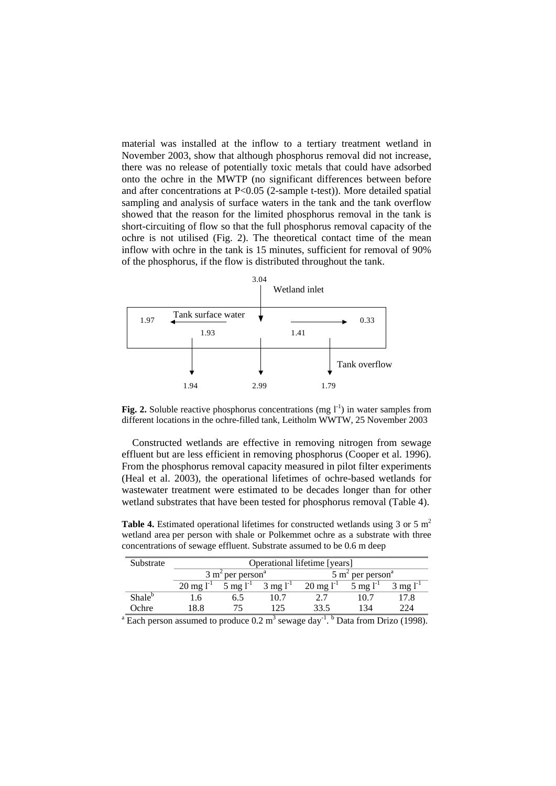material was installed at the inflow to a tertiary treatment wetland in November 2003, show that although phosphorus removal did not increase, there was no release of potentially toxic metals that could have adsorbed onto the ochre in the MWTP (no significant differences between before and after concentrations at P<0.05 (2-sample t-test)). More detailed spatial sampling and analysis of surface waters in the tank and the tank overflow showed that the reason for the limited phosphorus removal in the tank is short-circuiting of flow so that the full phosphorus removal capacity of the ochre is not utilised (Fig. 2). The theoretical contact time of the mean inflow with ochre in the tank is 15 minutes, sufficient for removal of 90% of the phosphorus, if the flow is distributed throughout the tank.



**Fig. 2.** Soluble reactive phosphorus concentrations (mg  $I<sup>-1</sup>$ ) in water samples from different locations in the ochre-filled tank, Leitholm WWTW, 25 November 2003

Constructed wetlands are effective in removing nitrogen from sewage effluent but are less efficient in removing phosphorus (Cooper et al. 1996). From the phosphorus removal capacity measured in pilot filter experiments (Heal et al. 2003), the operational lifetimes of ochre-based wetlands for wastewater treatment were estimated to be decades longer than for other wetland substrates that have been tested for phosphorus removal (Table 4).

**Table 4.** Estimated operational lifetimes for constructed wetlands using 3 or 5 m<sup>2</sup> wetland area per person with shale or Polkemmet ochre as a substrate with three concentrations of sewage effluent. Substrate assumed to be 0.6 m deep

| Substrate                                                                                                                     | Operational lifetime [years] |                                         |                                             |                                         |                       |                       |  |  |  |
|-------------------------------------------------------------------------------------------------------------------------------|------------------------------|-----------------------------------------|---------------------------------------------|-----------------------------------------|-----------------------|-----------------------|--|--|--|
|                                                                                                                               |                              | $3 \text{ m}^2$ per person <sup>a</sup> |                                             | $5 \text{ m}^2$ per person <sup>a</sup> |                       |                       |  |  |  |
|                                                                                                                               | $20 \text{ mg } l^{-1}$      |                                         | $5 \text{ mg l}^{-1}$ $3 \text{ mg l}^{-1}$ | $20 \text{ mg } l^{-1}$                 | $5 \text{ mg} l^{-1}$ | $3 \text{ mg} l^{-1}$ |  |  |  |
| Shale <sup>b</sup>                                                                                                            | L.6                          | 6.5                                     | 10.7                                        | 2.7                                     | 10.7                  | 17.8                  |  |  |  |
| Ochre                                                                                                                         | 18.8                         |                                         | 125                                         | 33.5                                    | 134                   | 224                   |  |  |  |
| <sup>a</sup> Each person assumed to produce $0.2 \text{ m}^3$ sewage day <sup>-1</sup> . <sup>b</sup> Data from Drizo (1998). |                              |                                         |                                             |                                         |                       |                       |  |  |  |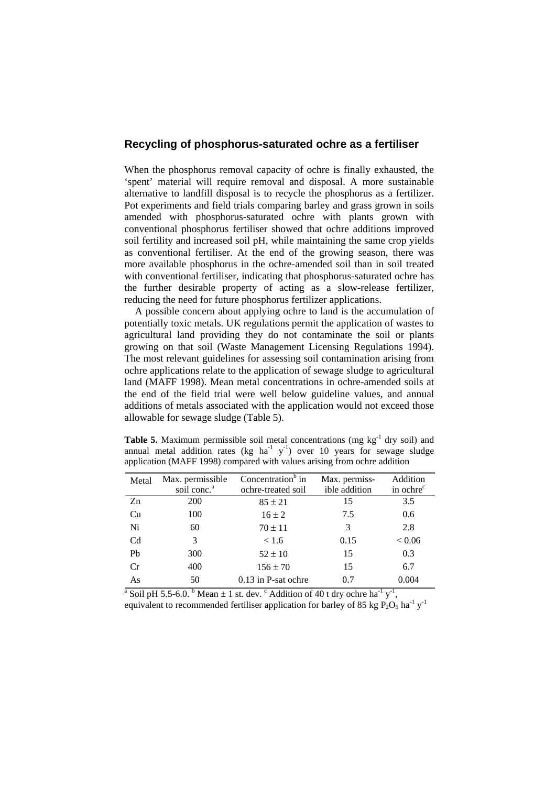### **Recycling of phosphorus-saturated ochre as a fertiliser**

When the phosphorus removal capacity of ochre is finally exhausted, the 'spent' material will require removal and disposal. A more sustainable alternative to landfill disposal is to recycle the phosphorus as a fertilizer. Pot experiments and field trials comparing barley and grass grown in soils amended with phosphorus-saturated ochre with plants grown with conventional phosphorus fertiliser showed that ochre additions improved soil fertility and increased soil pH, while maintaining the same crop yields as conventional fertiliser. At the end of the growing season, there was more available phosphorus in the ochre-amended soil than in soil treated with conventional fertiliser, indicating that phosphorus-saturated ochre has the further desirable property of acting as a slow-release fertilizer, reducing the need for future phosphorus fertilizer applications.

A possible concern about applying ochre to land is the accumulation of potentially toxic metals. UK regulations permit the application of wastes to agricultural land providing they do not contaminate the soil or plants growing on that soil (Waste Management Licensing Regulations 1994). The most relevant guidelines for assessing soil contamination arising from ochre applications relate to the application of sewage sludge to agricultural land (MAFF 1998). Mean metal concentrations in ochre-amended soils at the end of the field trial were well below guideline values, and annual additions of metals associated with the application would not exceed those allowable for sewage sludge (Table 5).

|  | <b>Table 5.</b> Maximum permissible soil metal concentrations (mg $kg^{-1}$ dry soil) and            |  |  |  |  |  |
|--|------------------------------------------------------------------------------------------------------|--|--|--|--|--|
|  | annual metal addition rates (kg ha <sup>-1</sup> $y$ <sup>-1</sup> ) over 10 years for sewage sludge |  |  |  |  |  |
|  | application (MAFF 1998) compared with values arising from ochreaddition                              |  |  |  |  |  |

| Metal          | Max. permissible<br>soil conc. <sup>a</sup> | Concentration <sup>b</sup> in<br>ochre-treated soil | Max. permiss-<br>ible addition | Addition<br>in ochre <sup>c</sup> |
|----------------|---------------------------------------------|-----------------------------------------------------|--------------------------------|-----------------------------------|
| Zn             | <b>200</b>                                  | $85 \pm 21$                                         | 15                             | 3.5                               |
| Cu             | 100                                         | $16 \pm 2$                                          | 7.5                            | 0.6                               |
| Ni             | 60                                          | $70 \pm 11$                                         | 3                              | 2.8                               |
| C <sub>d</sub> | 3                                           | < 1.6                                               | 0.15                           | ${}< 0.06$                        |
| P <sub>b</sub> | 300                                         | $52 \pm 10$                                         | 15                             | 0.3                               |
| Cr             | 400                                         | $156 \pm 70$                                        | 15                             | 6.7                               |
| As             | 50                                          | $0.13$ in P-sat ochre                               | 0.7                            | 0.004                             |

<sup>a</sup> Soil pH 5.5-6.0. <sup>b</sup> Mean  $\pm$  1 st. dev. <sup>c</sup> Addition of 40 t dry ochre ha<sup>-1</sup> y<sup>-1</sup>, equivalent to recommended fertiliser application for barley of 85 kg  $P_2O_5$  ha<sup>-1</sup> y<sup>-1</sup>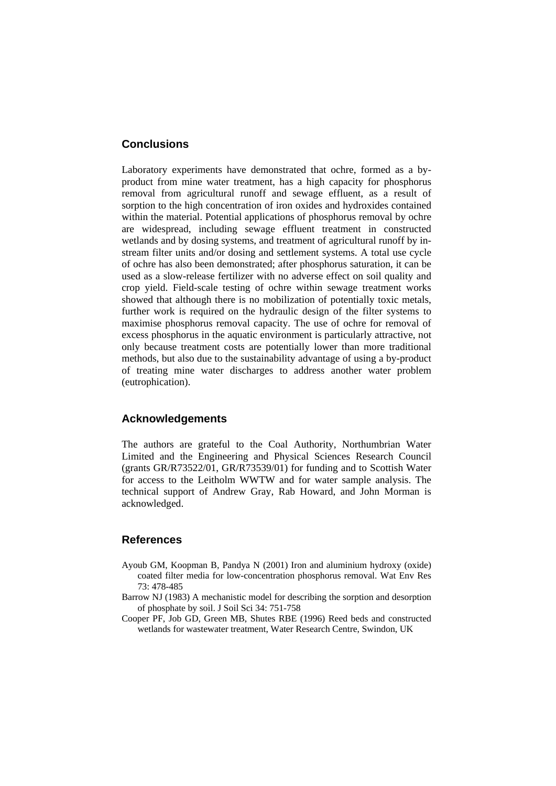### **Conclusions**

Laboratory experiments have demonstrated that ochre, formed as a byproduct from mine water treatment, has a high capacity for phosphorus removal from agricultural runoff and sewage effluent, as a result of sorption to the high concentration of iron oxides and hydroxides contained within the material. Potential applications of phosphorus removal by ochre are widespread, including sewage effluent treatment in constructed wetlands and by dosing systems, and treatment of agricultural runoff by instream filter units and/or dosing and settlement systems. A total use cycle of ochre has also been demonstrated; after phosphorus saturation, it can be used as a slow-release fertilizer with no adverse effect on soil quality and crop yield. Field-scale testing of ochre within sewage treatment works showed that although there is no mobilization of potentially toxic metals, further work is required on the hydraulic design of the filter systems to maximise phosphorus removal capacity. The use of ochre for removal of excess phosphorus in the aquatic environment is particularly attractive, not only because treatment costs are potentially lower than more traditional methods, but also due to the sustainability advantage of using a by-product of treating mine water discharges to address another water problem (eutrophication).

### **Acknowledgements**

The authors are grateful to the Coal Authority, Northumbrian Water Limited and the Engineering and Physical Sciences Research Council (grants GR/R73522/01, GR/R73539/01) for funding and to Scottish Water for access to the Leitholm WWTW and for water sample analysis. The technical support of Andrew Gray, Rab Howard, and John Morman is acknowledged.

### **References**

- Ayoub GM, Koopman B, Pandya N (2001) Iron and aluminium hydroxy (oxide) coated filter media for low-concentration phosphorus removal. Wat Env Res 73: 478-485
- Barrow NJ (1983) A mechanistic model for describing the sorption and desorption of phosphate by soil. J Soil Sci 34: 751-758
- Cooper PF, Job GD, Green MB, Shutes RBE (1996) Reed beds and constructed wetlands for wastewater treatment, Water Research Centre, Swindon, UK